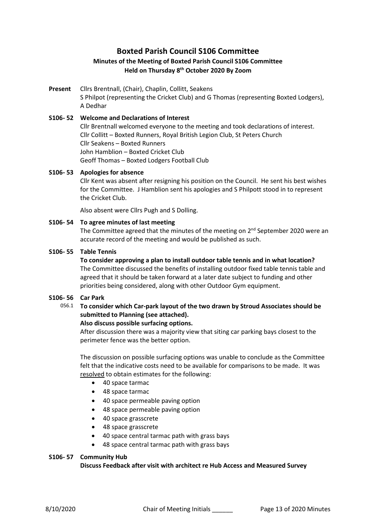# **Boxted Parish Council S106 Committee**

## **Minutes of the Meeting of Boxted Parish Council S106 Committee Held on Thursday 8 th October 2020 By Zoom**

**Present** Cllrs Brentnall, (Chair), Chaplin, Collitt, Seakens S Philpot (representing the Cricket Club) and G Thomas (representing Boxted Lodgers), A Dedhar

## **S106- 52 Welcome and Declarations of Interest** Cllr Brentnall welcomed everyone to the meeting and took declarations of interest. Cllr Collitt – Boxted Runners, Royal British Legion Club, St Peters Church Cllr Seakens – Boxted Runners John Hamblion – Boxted Cricket Club Geoff Thomas – Boxted Lodgers Football Club

#### **S106- 53 Apologies for absence**

Cllr Kent was absent after resigning his position on the Council. He sent his best wishes for the Committee. J Hamblion sent his apologies and S Philpott stood in to represent the Cricket Club.

Also absent were Cllrs Pugh and S Dolling.

#### **S106- 54 To agree minutes of last meeting**

The Committee agreed that the minutes of the meeting on 2<sup>nd</sup> September 2020 were an accurate record of the meeting and would be published as such.

#### **S106- 55 Table Tennis**

**To consider approving a plan to install outdoor table tennis and in what location?** The Committee discussed the benefits of installing outdoor fixed table tennis table and agreed that it should be taken forward at a later date subject to funding and other priorities being considered, along with other Outdoor Gym equipment.

#### **S106- 56 Car Park**

056.1 **To consider which Car-park layout of the two drawn by Stroud Associates should be submitted to Planning (see attached).** 

#### **Also discuss possible surfacing options.**

After discussion there was a majority view that siting car parking bays closest to the perimeter fence was the better option.

The discussion on possible surfacing options was unable to conclude as the Committee felt that the indicative costs need to be available for comparisons to be made. It was resolved to obtain estimates for the following:

- 40 space tarmac
- 48 space tarmac
- 40 space permeable paving option
- 48 space permeable paving option
- 40 space grasscrete
- 48 space grasscrete
- 40 space central tarmac path with grass bays
- 48 space central tarmac path with grass bays

#### **S106- 57 Community Hub**

**Discuss Feedback after visit with architect re Hub Access and Measured Survey**